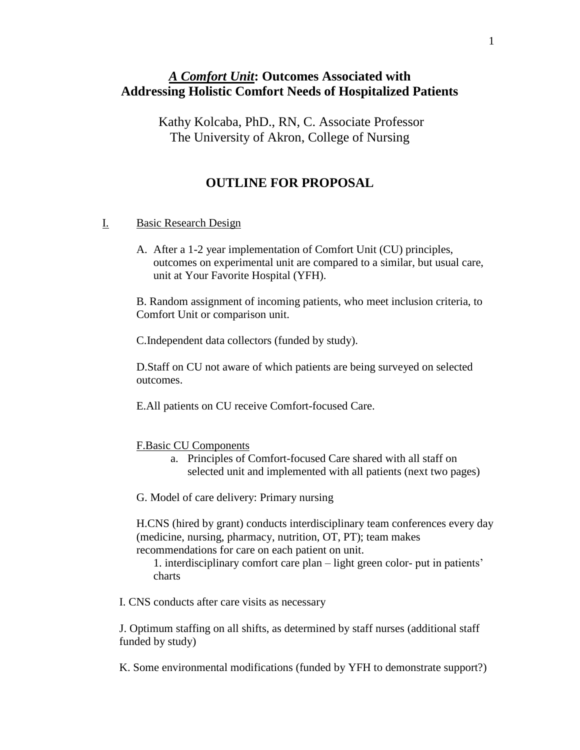### *A Comfort Unit***: Outcomes Associated with Addressing Holistic Comfort Needs of Hospitalized Patients**

Kathy Kolcaba, PhD., RN, C. Associate Professor The University of Akron, College of Nursing

#### **OUTLINE FOR PROPOSAL**

#### I. Basic Research Design

A. After a 1-2 year implementation of Comfort Unit (CU) principles, outcomes on experimental unit are compared to a similar, but usual care, unit at Your Favorite Hospital (YFH).

B. Random assignment of incoming patients, who meet inclusion criteria, to Comfort Unit or comparison unit.

C.Independent data collectors (funded by study).

D.Staff on CU not aware of which patients are being surveyed on selected outcomes.

E.All patients on CU receive Comfort-focused Care.

#### F.Basic CU Components

a. Principles of Comfort-focused Care shared with all staff on selected unit and implemented with all patients (next two pages)

G. Model of care delivery: Primary nursing

H.CNS (hired by grant) conducts interdisciplinary team conferences every day (medicine, nursing, pharmacy, nutrition, OT, PT); team makes recommendations for care on each patient on unit.

1. interdisciplinary comfort care plan – light green color- put in patients' charts

I. CNS conducts after care visits as necessary

J. Optimum staffing on all shifts, as determined by staff nurses (additional staff funded by study)

K. Some environmental modifications (funded by YFH to demonstrate support?)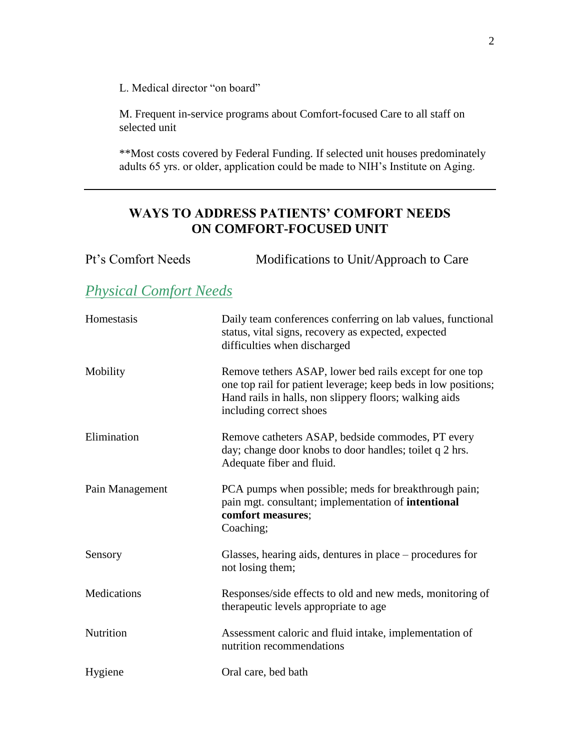L. Medical director "on board"

M. Frequent in-service programs about Comfort-focused Care to all staff on selected unit

\*\*Most costs covered by Federal Funding. If selected unit houses predominately adults 65 yrs. or older, application could be made to NIH's Institute on Aging.

### **WAYS TO ADDRESS PATIENTS' COMFORT NEEDS ON COMFORT-FOCUSED UNIT**

| Pt's Comfort Needs            | Modifications to Unit/Approach to Care                                                                                                                                                                         |
|-------------------------------|----------------------------------------------------------------------------------------------------------------------------------------------------------------------------------------------------------------|
| <b>Physical Comfort Needs</b> |                                                                                                                                                                                                                |
| Homestasis                    | Daily team conferences conferring on lab values, functional<br>status, vital signs, recovery as expected, expected<br>difficulties when discharged                                                             |
| Mobility                      | Remove tethers ASAP, lower bed rails except for one top<br>one top rail for patient leverage; keep beds in low positions;<br>Hand rails in halls, non slippery floors; walking aids<br>including correct shoes |
| Elimination                   | Remove catheters ASAP, bedside commodes, PT every<br>day; change door knobs to door handles; toilet q 2 hrs.<br>Adequate fiber and fluid.                                                                      |
| Pain Management               | PCA pumps when possible; meds for breakthrough pain;<br>pain mgt. consultant; implementation of intentional<br>comfort measures;<br>Coaching;                                                                  |
| Sensory                       | Glasses, hearing aids, dentures in place – procedures for<br>not losing them;                                                                                                                                  |
| Medications                   | Responses/side effects to old and new meds, monitoring of<br>therapeutic levels appropriate to age                                                                                                             |
| Nutrition                     | Assessment caloric and fluid intake, implementation of<br>nutrition recommendations                                                                                                                            |
| Hygiene                       | Oral care, bed bath                                                                                                                                                                                            |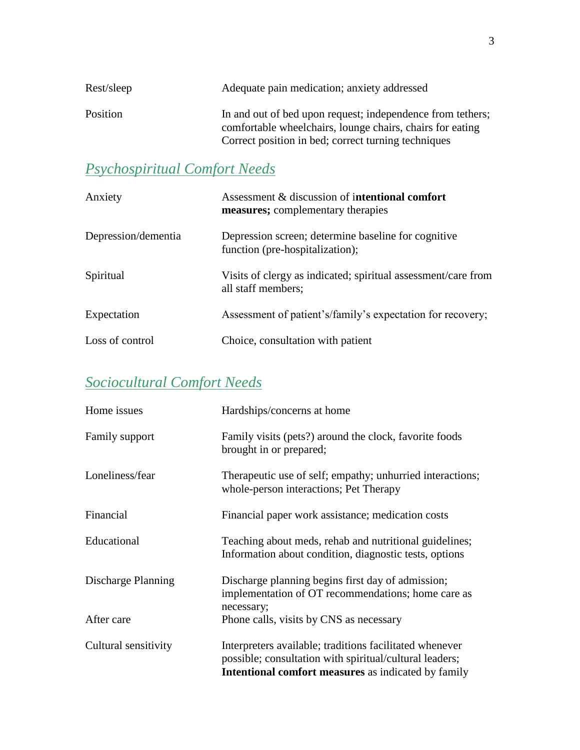| Rest/sleep | Adequate pain medication; anxiety addressed                                                                                                                                    |
|------------|--------------------------------------------------------------------------------------------------------------------------------------------------------------------------------|
| Position   | In and out of bed upon request; independence from tethers;<br>comfortable wheelchairs, lounge chairs, chairs for eating<br>Correct position in bed; correct turning techniques |

## *Psychospiritual Comfort Needs*

| Anxiety             | Assessment & discussion of intentional comfort<br>measures; complementary therapies    |
|---------------------|----------------------------------------------------------------------------------------|
| Depression/dementia | Depression screen; determine baseline for cognitive<br>function (pre-hospitalization); |
| Spiritual           | Visits of clergy as indicated; spiritual assessment/care from<br>all staff members;    |
| Expectation         | Assessment of patient's/family's expectation for recovery;                             |
| Loss of control     | Choice, consultation with patient                                                      |

## *Sociocultural Comfort Needs*

| Home issues          | Hardships/concerns at home                                                                                                                                                       |
|----------------------|----------------------------------------------------------------------------------------------------------------------------------------------------------------------------------|
| Family support       | Family visits (pets?) around the clock, favorite foods<br>brought in or prepared;                                                                                                |
| Loneliness/fear      | Therapeutic use of self; empathy; unhurried interactions;<br>whole-person interactions; Pet Therapy                                                                              |
| Financial            | Financial paper work assistance; medication costs                                                                                                                                |
| Educational          | Teaching about meds, rehab and nutritional guidelines;<br>Information about condition, diagnostic tests, options                                                                 |
| Discharge Planning   | Discharge planning begins first day of admission;<br>implementation of OT recommendations; home care as<br>necessary;                                                            |
| After care           | Phone calls, visits by CNS as necessary                                                                                                                                          |
| Cultural sensitivity | Interpreters available; traditions facilitated whenever<br>possible; consultation with spiritual/cultural leaders;<br><b>Intentional comfort measures</b> as indicated by family |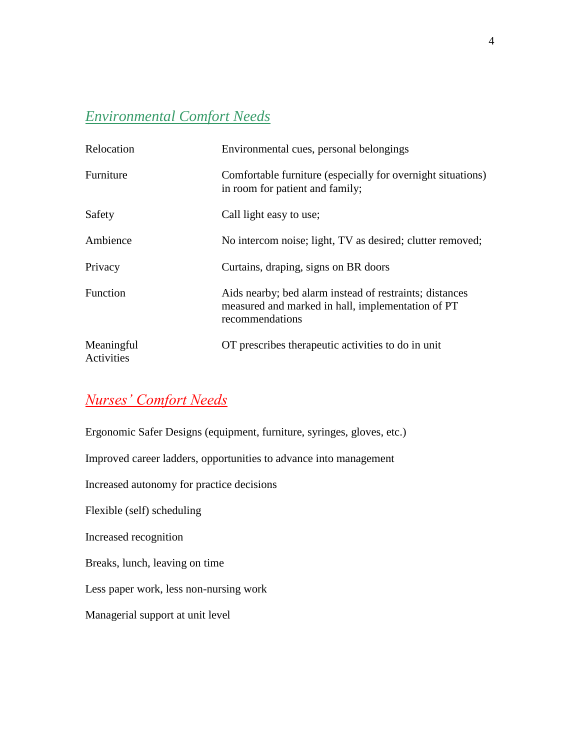## *Environmental Comfort Needs*

| Relocation               | Environmental cues, personal belongings                                                                                         |
|--------------------------|---------------------------------------------------------------------------------------------------------------------------------|
| Furniture                | Comfortable furniture (especially for overnight situations)<br>in room for patient and family;                                  |
| Safety                   | Call light easy to use;                                                                                                         |
| Ambience                 | No intercom noise; light, TV as desired; clutter removed;                                                                       |
| Privacy                  | Curtains, draping, signs on BR doors                                                                                            |
| <b>Function</b>          | Aids nearby; bed alarm instead of restraints; distances<br>measured and marked in hall, implementation of PT<br>recommendations |
| Meaningful<br>Activities | OT prescribes therapeutic activities to do in unit                                                                              |

# *Nurses' Comfort Needs*

| Ergonomic Safer Designs (equipment, furniture, syringes, gloves, etc.) |
|------------------------------------------------------------------------|
| Improved career ladders, opportunities to advance into management      |
| Increased autonomy for practice decisions                              |
| Flexible (self) scheduling                                             |
| Increased recognition                                                  |
| Breaks, lunch, leaving on time                                         |
| Less paper work, less non-nursing work                                 |
| Managerial support at unit level                                       |